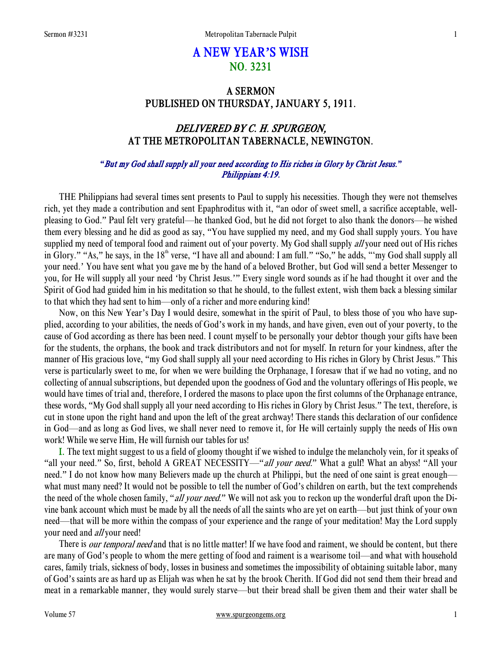# A NEW YEAR**'**S WISH NO. 3231

## A SERMON PUBLISHED ON THURSDAY, JANUARY 5, 1911.

## DELIVERED BY C. H. SPURGEON, AT THE METROPOLITAN TABERNACLE, NEWINGTON.

#### *"*But my God shall supply all your need according to His riches in Glory by Christ Jesus.*"* Philippians 4:19.

 THE Philippians had several times sent presents to Paul to supply his necessities. Though they were not themselves rich, yet they made a contribution and sent Epaphroditus with it, "an odor of sweet smell, a sacrifice acceptable, wellpleasing to God." Paul felt very grateful—he thanked God, but he did not forget to also thank the donors—he wished them every blessing and he did as good as say, "You have supplied my need, and my God shall supply yours. You have supplied my need of temporal food and raiment out of your poverty. My God shall supply all your need out of His riches in Glory." "As," he says, in the 18<sup>th</sup> verse, "I have all and abound: I am full." "So," he adds, ""my God shall supply all your need.' You have sent what you gave me by the hand of a beloved Brother, but God will send a better Messenger to you, for He will supply all your need 'by Christ Jesus.'" Every single word sounds as if he had thought it over and the Spirit of God had guided him in his meditation so that he should, to the fullest extent, wish them back a blessing similar to that which they had sent to him—only of a richer and more enduring kind!

 Now, on this New Year's Day I would desire, somewhat in the spirit of Paul, to bless those of you who have supplied, according to your abilities, the needs of God's work in my hands, and have given, even out of your poverty, to the cause of God according as there has been need. I count myself to be personally your debtor though your gifts have been for the students, the orphans, the book and track distributors and not for myself. In return for your kindness, after the manner of His gracious love, "my God shall supply all your need according to His riches in Glory by Christ Jesus." This verse is particularly sweet to me, for when we were building the Orphanage, I foresaw that if we had no voting, and no collecting of annual subscriptions, but depended upon the goodness of God and the voluntary offerings of His people, we would have times of trial and, therefore, I ordered the masons to place upon the first columns of the Orphanage entrance, these words, "My God shall supply all your need according to His riches in Glory by Christ Jesus." The text, therefore, is cut in stone upon the right hand and upon the left of the great archway! There stands this declaration of our confidence in God—and as long as God lives, we shall never need to remove it, for He will certainly supply the needs of His own work! While we serve Him, He will furnish our tables for us!

I. The text might suggest to us a field of gloomy thought if we wished to indulge the melancholy vein, for it speaks of "all your need." So, first, behold A GREAT NECESSITY—"all your need." What a gulf! What an abyss! "All your need." I do not know how many Believers made up the church at Philippi, but the need of one saint is great enough what must many need? It would not be possible to tell the number of God's children on earth, but the text comprehends the need of the whole chosen family, "all your need." We will not ask you to reckon up the wonderful draft upon the Divine bank account which must be made by all the needs of all the saints who are yet on earth—but just think of your own need—that will be more within the compass of your experience and the range of your meditation! May the Lord supply your need and *all* your need!

There is *our temporal need* and that is no little matter! If we have food and raiment, we should be content, but there are many of God's people to whom the mere getting of food and raiment is a wearisome toil—and what with household cares, family trials, sickness of body, losses in business and sometimes the impossibility of obtaining suitable labor, many of God's saints are as hard up as Elijah was when he sat by the brook Cherith. If God did not send them their bread and meat in a remarkable manner, they would surely starve—but their bread shall be given them and their water shall be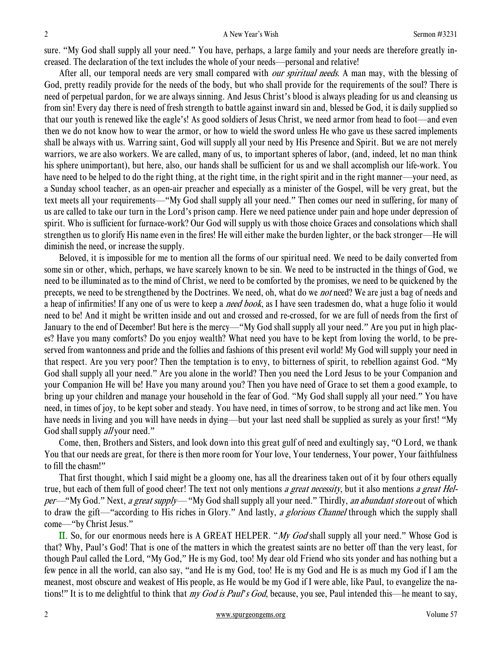sure. "My God shall supply all your need." You have, perhaps, a large family and your needs are therefore greatly increased. The declaration of the text includes the whole of your needs—personal and relative!

After all, our temporal needs are very small compared with *our spiritual needs*. A man may, with the blessing of God, pretty readily provide for the needs of the body, but who shall provide for the requirements of the soul? There is need of perpetual pardon, for we are always sinning. And Jesus Christ's blood is always pleading for us and cleansing us from sin! Every day there is need of fresh strength to battle against inward sin and, blessed be God, it is daily supplied so that our youth is renewed like the eagle's! As good soldiers of Jesus Christ, we need armor from head to foot—and even then we do not know how to wear the armor, or how to wield the sword unless He who gave us these sacred implements shall be always with us. Warring saint, God will supply all your need by His Presence and Spirit. But we are not merely warriors, we are also workers. We are called, many of us, to important spheres of labor, (and, indeed, let no man think his sphere unimportant), but here, also, our hands shall be sufficient for us and we shall accomplish our life-work. You have need to be helped to do the right thing, at the right time, in the right spirit and in the right manner—your need, as a Sunday school teacher, as an open-air preacher and especially as a minister of the Gospel, will be very great, but the text meets all your requirements—"My God shall supply all your need." Then comes our need in suffering, for many of us are called to take our turn in the Lord's prison camp. Here we need patience under pain and hope under depression of spirit. Who is sufficient for furnace-work? Our God will supply us with those choice Graces and consolations which shall strengthen us to glorify His name even in the fires! He will either make the burden lighter, or the back stronger—He will diminish the need, or increase the supply.

 Beloved, it is impossible for me to mention all the forms of our spiritual need. We need to be daily converted from some sin or other, which, perhaps, we have scarcely known to be sin. We need to be instructed in the things of God, we need to be illuminated as to the mind of Christ, we need to be comforted by the promises, we need to be quickened by the precepts, we need to be strengthened by the Doctrines. We need, oh, what do we *not* need? We are just a bag of needs and a heap of infirmities! If any one of us were to keep a *need book*, as I have seen tradesmen do, what a huge folio it would need to be! And it might be written inside and out and crossed and re-crossed, for we are full of needs from the first of January to the end of December! But here is the mercy—"My God shall supply all your need." Are you put in high places? Have you many comforts? Do you enjoy wealth? What need you have to be kept from loving the world, to be preserved from wantonness and pride and the follies and fashions of this present evil world! My God will supply your need in that respect. Are you very poor? Then the temptation is to envy, to bitterness of spirit, to rebellion against God. "My God shall supply all your need." Are you alone in the world? Then you need the Lord Jesus to be your Companion and your Companion He will be! Have you many around you? Then you have need of Grace to set them a good example, to bring up your children and manage your household in the fear of God. "My God shall supply all your need." You have need, in times of joy, to be kept sober and steady. You have need, in times of sorrow, to be strong and act like men. You have needs in living and you will have needs in dying—but your last need shall be supplied as surely as your first! "My God shall supply *all* your need."

 Come, then, Brothers and Sisters, and look down into this great gulf of need and exultingly say, "O Lord, we thank You that our needs are great, for there is then more room for Your love, Your tenderness, Your power, Your faithfulness to fill the chasm!"

 That first thought, which I said might be a gloomy one, has all the dreariness taken out of it by four others equally true, but each of them full of good cheer! The text not only mentions a great necessity, but it also mentions a great Helper—"My God." Next, a great supply—"My God shall supply all your need." Thirdly, an abundant store out of which to draw the gift—"according to His riches in Glory." And lastly, a glorious Channel through which the supply shall come—"by Christ Jesus."

II. So, for our enormous needs here is A GREAT HELPER. "My God shall supply all your need." Whose God is that? Why, Paul's God! That is one of the matters in which the greatest saints are no better off than the very least, for though Paul called the Lord, "My God," He is my God, too! My dear old Friend who sits yonder and has nothing but a few pence in all the world, can also say, "and He is my God, too! He is my God and He is as much my God if I am the meanest, most obscure and weakest of His people, as He would be my God if I were able, like Paul, to evangelize the nations!" It is to me delightful to think that my God is Paul*'*s God, because, you see, Paul intended this—he meant to say,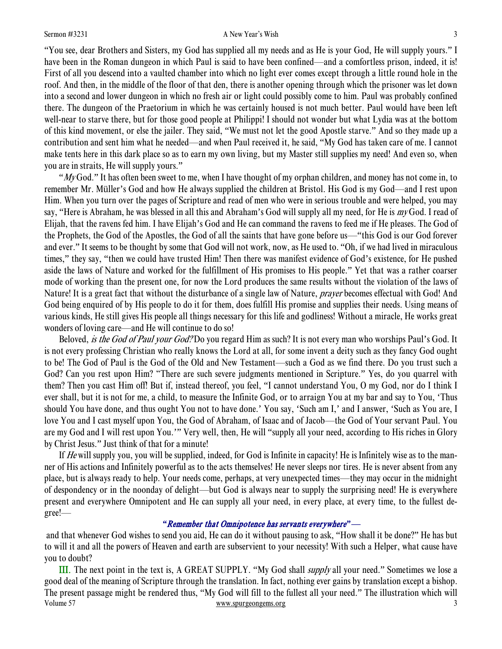"You see, dear Brothers and Sisters, my God has supplied all my needs and as He is your God, He will supply yours." I have been in the Roman dungeon in which Paul is said to have been confined—and a comfortless prison, indeed, it is! First of all you descend into a vaulted chamber into which no light ever comes except through a little round hole in the roof. And then, in the middle of the floor of that den, there is another opening through which the prisoner was let down into a second and lower dungeon in which no fresh air or light could possibly come to him. Paul was probably confined there. The dungeon of the Praetorium in which he was certainly housed is not much better. Paul would have been left well-near to starve there, but for those good people at Philippi! I should not wonder but what Lydia was at the bottom of this kind movement, or else the jailer. They said, "We must not let the good Apostle starve." And so they made up a contribution and sent him what he needed—and when Paul received it, he said, "My God has taken care of me. I cannot make tents here in this dark place so as to earn my own living, but my Master still supplies my need! And even so, when you are in straits, He will supply yours."

"My God." It has often been sweet to me, when I have thought of my orphan children, and money has not come in, to remember Mr. Müller's God and how He always supplied the children at Bristol. His God is my God—and I rest upon Him. When you turn over the pages of Scripture and read of men who were in serious trouble and were helped, you may say, "Here is Abraham, he was blessed in all this and Abraham's God will supply all my need, for He is my God. I read of Elijah, that the ravens fed him. I have Elijah's God and He can command the ravens to feed me if He pleases. The God of the Prophets, the God of the Apostles, the God of all the saints that have gone before us—"this God is our God forever and ever." It seems to be thought by some that God will not work, now, as He used to. "Oh, if we had lived in miraculous times," they say, "then we could have trusted Him! Then there was manifest evidence of God's existence, for He pushed aside the laws of Nature and worked for the fulfillment of His promises to His people." Yet that was a rather coarser mode of working than the present one, for now the Lord produces the same results without the violation of the laws of Nature! It is a great fact that without the disturbance of a single law of Nature, *prayer* becomes effectual with God! And God being enquired of by His people to do it for them, does fulfill His promise and supplies their needs. Using means of various kinds, He still gives His people all things necessary for this life and godliness! Without a miracle, He works great wonders of loving care—and He will continue to do so!

Beloved, *is the God of Paul your God?* Do you regard Him as such? It is not every man who worships Paul's God. It is not every professing Christian who really knows the Lord at all, for some invent a deity such as they fancy God ought to be! The God of Paul is the God of the Old and New Testament—such a God as we find there. Do you trust such a God? Can you rest upon Him? "There are such severe judgments mentioned in Scripture." Yes, do you quarrel with them? Then you cast Him off! But if, instead thereof, you feel, "I cannot understand You, O my God, nor do I think I ever shall, but it is not for me, a child, to measure the Infinite God, or to arraign You at my bar and say to You, 'Thus should You have done, and thus ought You not to have done.' You say, 'Such am I,' and I answer, 'Such as You are, I love You and I cast myself upon You, the God of Abraham, of Isaac and of Jacob—the God of Your servant Paul. You are my God and I will rest upon You.'" Very well, then, He will "supply all your need, according to His riches in Glory by Christ Jesus." Just think of that for a minute!

If He will supply you, you will be supplied, indeed, for God is Infinite in capacity! He is Infinitely wise as to the manner of His actions and Infinitely powerful as to the acts themselves! He never sleeps nor tires. He is never absent from any place, but is always ready to help. Your needs come, perhaps, at very unexpected times—they may occur in the midnight of despondency or in the noonday of delight—but God is always near to supply the surprising need! He is everywhere present and everywhere Omnipotent and He can supply all your need, in every place, at every time, to the fullest degree!—

#### *"*Remember that Omnipotence has servants everywhere*"*—

 and that whenever God wishes to send you aid, He can do it without pausing to ask, "How shall it be done?" He has but to will it and all the powers of Heaven and earth are subservient to your necessity! With such a Helper, what cause have you to doubt?

Volume 57 www.spurgeongems.org 3 III. The next point in the text is, A GREAT SUPPLY. "My God shall supply all your need." Sometimes we lose a good deal of the meaning of Scripture through the translation. In fact, nothing ever gains by translation except a bishop. The present passage might be rendered thus, "My God will fill to the fullest all your need." The illustration which will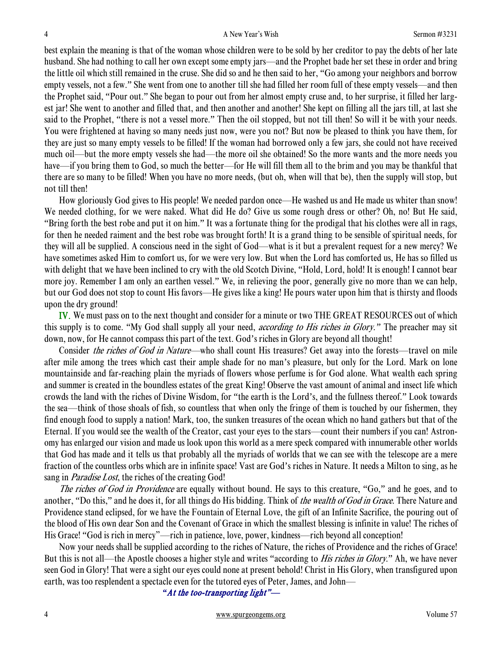best explain the meaning is that of the woman whose children were to be sold by her creditor to pay the debts of her late husband. She had nothing to call her own except some empty jars—and the Prophet bade her set these in order and bring the little oil which still remained in the cruse. She did so and he then said to her, "Go among your neighbors and borrow empty vessels, not a few." She went from one to another till she had filled her room full of these empty vessels—and then the Prophet said, "Pour out." She began to pour out from her almost empty cruse and, to her surprise, it filled her largest jar! She went to another and filled that, and then another and another! She kept on filling all the jars till, at last she said to the Prophet, "there is not a vessel more." Then the oil stopped, but not till then! So will it be with your needs. You were frightened at having so many needs just now, were you not? But now be pleased to think you have them, for they are just so many empty vessels to be filled! If the woman had borrowed only a few jars, she could not have received much oil—but the more empty vessels she had—the more oil she obtained! So the more wants and the more needs you have—if you bring them to God, so much the better—for He will fill them all to the brim and you may be thankful that there are so many to be filled! When you have no more needs, (but oh, when will that be), then the supply will stop, but not till then!

 How gloriously God gives to His people! We needed pardon once—He washed us and He made us whiter than snow! We needed clothing, for we were naked. What did He do? Give us some rough dress or other? Oh, no! But He said, "Bring forth the best robe and put it on him." It was a fortunate thing for the prodigal that his clothes were all in rags, for then he needed raiment and the best robe was brought forth! It is a grand thing to be sensible of spiritual needs, for they will all be supplied. A conscious need in the sight of God—what is it but a prevalent request for a new mercy? We have sometimes asked Him to comfort us, for we were very low. But when the Lord has comforted us, He has so filled us with delight that we have been inclined to cry with the old Scotch Divine, "Hold, Lord, hold! It is enough! I cannot bear more joy. Remember I am only an earthen vessel." We, in relieving the poor, generally give no more than we can help, but our God does not stop to count His favors—He gives like a king! He pours water upon him that is thirsty and floods upon the dry ground!

IV. We must pass on to the next thought and consider for a minute or two THE GREAT RESOURCES out of which this supply is to come. "My God shall supply all your need, according to His riches in Glory.*"* The preacher may sit down, now, for He cannot compass this part of the text. God's riches in Glory are beyond all thought!

Consider the riches of God in Nature—who shall count His treasures? Get away into the forests—travel on mile after mile among the trees which cast their ample shade for no man's pleasure, but only for the Lord. Mark on lone mountainside and far-reaching plain the myriads of flowers whose perfume is for God alone. What wealth each spring and summer is created in the boundless estates of the great King! Observe the vast amount of animal and insect life which crowds the land with the riches of Divine Wisdom, for "the earth is the Lord's, and the fullness thereof." Look towards the sea—think of those shoals of fish, so countless that when only the fringe of them is touched by our fishermen, they find enough food to supply a nation! Mark, too, the sunken treasures of the ocean which no hand gathers but that of the Eternal. If you would see the wealth of the Creator, cast your eyes to the stars—count their numbers if you can! Astronomy has enlarged our vision and made us look upon this world as a mere speck compared with innumerable other worlds that God has made and it tells us that probably all the myriads of worlds that we can see with the telescope are a mere fraction of the countless orbs which are in infinite space! Vast are God's riches in Nature. It needs a Milton to sing, as he sang in *Paradise Lost*, the riches of the creating God!

The riches of God in Providence are equally without bound. He says to this creature, "Go," and he goes, and to another, "Do this," and he does it, for all things do His bidding. Think of *the wealth of God in Grace*. There Nature and Providence stand eclipsed, for we have the Fountain of Eternal Love, the gift of an Infinite Sacrifice, the pouring out of the blood of His own dear Son and the Covenant of Grace in which the smallest blessing is infinite in value! The riches of His Grace! "God is rich in mercy"—rich in patience, love, power, kindness—rich beyond all conception!

 Now your needs shall be supplied according to the riches of Nature, the riches of Providence and the riches of Grace! But this is not all—the Apostle chooses a higher style and writes "according to *His riches in Glory*." Ah, we have never seen God in Glory! That were a sight our eyes could none at present behold! Christ in His Glory, when transfigured upon earth, was too resplendent a spectacle even for the tutored eyes of Peter, James, and John—

*"*At the too-transporting light"—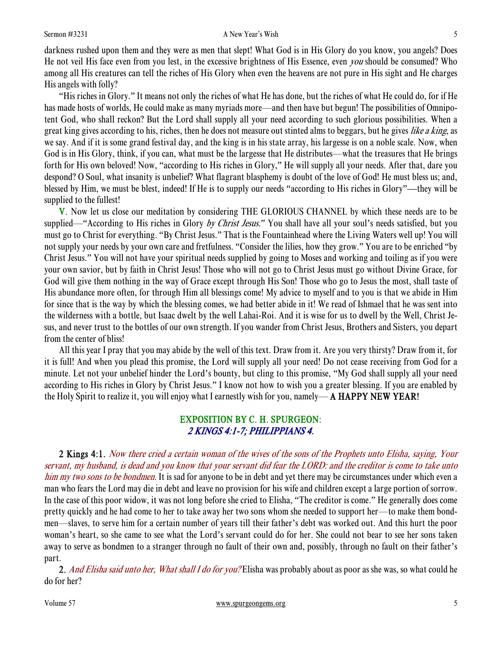#### Sermon #3231 **A New Year's Wish 5**

darkness rushed upon them and they were as men that slept! What God is in His Glory do you know, you angels? Does He not veil His face even from you lest, in the excessive brightness of His Essence, even you should be consumed? Who among all His creatures can tell the riches of His Glory when even the heavens are not pure in His sight and He charges His angels with folly?

"His riches in Glory." It means not only the riches of what He has done, but the riches of what He could do, for if He has made hosts of worlds, He could make as many myriads more—and then have but begun! The possibilities of Omnipotent God, who shall reckon? But the Lord shall supply all your need according to such glorious possibilities. When a great king gives according to his, riches, then he does not measure out stinted alms to beggars, but he gives like a king, as we say. And if it is some grand festival day, and the king is in his state array, his largesse is on a noble scale. Now, when God is in His Glory, think, if you can, what must be the largesse that He distributes—what the treasures that He brings forth for His own beloved! Now, "according to His riches in Glory," He will supply all your needs. After that, dare you despond? O Soul, what insanity is unbelief? What flagrant blasphemy is doubt of the love of God! He must bless us; and, blessed by Him, we must be blest, indeed! If He is to supply our needs "according to His riches in Glory"—they will be supplied to the fullest!

V. Now let us close our meditation by considering THE GLORIOUS CHANNEL by which these needs are to be supplied—"According to His riches in Glory by Christ Jesus." You shall have all your soul's needs satisfied, but you must go to Christ for everything. "By Christ Jesus." That is the Fountainhead where the Living Waters well up! You will not supply your needs by your own care and fretfulness. "Consider the lilies, how they grow." You are to be enriched "by Christ Jesus." You will not have your spiritual needs supplied by going to Moses and working and toiling as if you were your own savior, but by faith in Christ Jesus! Those who will not go to Christ Jesus must go without Divine Grace, for God will give them nothing in the way of Grace except through His Son! Those who go to Jesus the most, shall taste of His abundance more often, for through Him all blessings come! My advice to myself and to you is that we abide in Him for since that is the way by which the blessing comes, we had better abide in it! We read of Ishmael that he was sent into the wilderness with a bottle, but Isaac dwelt by the well Lahai-Roi. And it is wise for us to dwell by the Well, Christ Jesus, and never trust to the bottles of our own strength. If you wander from Christ Jesus, Brothers and Sisters, you depart from the center of bliss!

 All this year I pray that you may abide by the well of this text. Draw from it. Are you very thirsty? Draw from it, for it is full! And when you plead this promise, the Lord will supply all your need! Do not cease receiving from God for a minute. Let not your unbelief hinder the Lord's bounty, but cling to this promise, "My God shall supply all your need according to His riches in Glory by Christ Jesus." I know not how to wish you a greater blessing. If you are enabled by the Holy Spirit to realize it, you will enjoy what I earnestly wish for you, namely— A HAPPY NEW YEAR!

### EXPOSITION BY C. H. SPURGEON: 2 KINGS 4:1-7; PHILIPPIANS 4.

 2 Kings 4:1. Now there cried a certain woman of the wives of the sons of the Prophets unto Elisha, saying, Your servant, my husband, is dead and you know that your servant did fear the LORD: and the creditor is come to take unto him my two sons to be bondmen. It is sad for anyone to be in debt and yet there may be circumstances under which even a man who fears the Lord may die in debt and leave no provision for his wife and children except a large portion of sorrow. In the case of this poor widow, it was not long before she cried to Elisha, "The creditor is come." He generally does come pretty quickly and he had come to her to take away her two sons whom she needed to support her—to make them bondmen—slaves, to serve him for a certain number of years till their father's debt was worked out. And this hurt the poor woman's heart, so she came to see what the Lord's servant could do for her. She could not bear to see her sons taken away to serve as bondmen to a stranger through no fault of their own and, possibly, through no fault on their father's part.

2. And Elisha said unto her, What shall I do for you? Elisha was probably about as poor as she was, so what could he do for her?

Volume 57 www.spurgeongems.org 5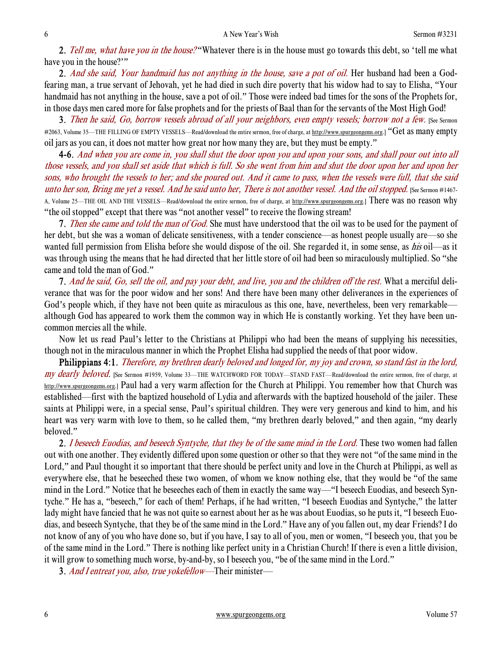2. Tell me, what have you in the house? "Whatever there is in the house must go towards this debt, so 'tell me what have you in the house?""

2. And she said, Your handmaid has not anything in the house, save a pot of oil. Her husband had been a Godfearing man, a true servant of Jehovah, yet he had died in such dire poverty that his widow had to say to Elisha, "Your handmaid has not anything in the house, save a pot of oil." Those were indeed bad times for the sons of the Prophets for, in those days men cared more for false prophets and for the priests of Baal than for the servants of the Most High God!

3. Then he said, Go, borrow vessels abroad of all your neighbors, even empty vessels; borrow not a few. [See Sermon #2063, Volume 35—THE FILLING OF EMPTY VESSELS—Read/download the entire sermon, free of charge, at http://www.spurgeongems.org.] "Get as many empty oil jars as you can, it does not matter how great nor how many they are, but they must be empty."

4-6. And when you are come in, you shall shut the door upon you and upon your sons, and shall pour out into all those vessels, and you shall set aside that which is full. So she went from him and shut the door upon her and upon her sons, who brought the vessels to her; and she poured out. And it came to pass, when the vessels were full, that she said unto her son, Bring me yet a vessel. And he said unto her, There is not another vessel. And the oil stopped. [See Sermon #1467-A, Volume 25—THE OIL AND THE VESSELS—Read/download the entire sermon, free of charge, at http://www.spurgeongems.org.] There was no reason why "the oil stopped" except that there was "not another vessel" to receive the flowing stream!

7. Then she came and told the man of God. She must have understood that the oil was to be used for the payment of her debt, but she was a woman of delicate sensitiveness, with a tender conscience—as honest people usually are—so she wanted full permission from Elisha before she would dispose of the oil. She regarded it, in some sense, as *his* oil—as it was through using the means that he had directed that her little store of oil had been so miraculously multiplied. So "she came and told the man of God."

7. And he said, Go, sell the oil, and pay your debt, and live, you and the children off the rest. What a merciful deliverance that was for the poor widow and her sons! And there have been many other deliverances in the experiences of God's people which, if they have not been quite as miraculous as this one, have, nevertheless, been very remarkable although God has appeared to work them the common way in which He is constantly working. Yet they have been uncommon mercies all the while.

 Now let us read Paul's letter to the Christians at Philippi who had been the means of supplying his necessities, though not in the miraculous manner in which the Prophet Elisha had supplied the needs of that poor widow.

Philippians 4:1. Therefore, my brethren dearly beloved and longed for, my joy and crown, so stand fast in the lord, my dearly beloved. [See Sermon #1959, Volume 33—THE WATCHWORD FOR TODAY—STAND FAST—Read/download the entire sermon, free of charge, at http://www.spurgeongems.org.] Paul had a very warm affection for the Church at Philippi. You remember how that Church was established—first with the baptized household of Lydia and afterwards with the baptized household of the jailer. These saints at Philippi were, in a special sense, Paul's spiritual children. They were very generous and kind to him, and his heart was very warm with love to them, so he called them, "my brethren dearly beloved," and then again, "my dearly beloved."

2. I beseech Euodias, and beseech Syntyche, that they be of the same mind in the Lord. These two women had fallen out with one another. They evidently differed upon some question or other so that they were not "of the same mind in the Lord," and Paul thought it so important that there should be perfect unity and love in the Church at Philippi, as well as everywhere else, that he beseeched these two women, of whom we know nothing else, that they would be "of the same mind in the Lord." Notice that he beseeches each of them in exactly the same way—"I beseech Euodias, and beseech Syntyche." He has a, "beseech," for each of them! Perhaps, if he had written, "I beseech Euodias and Syntyche," the latter lady might have fancied that he was not quite so earnest about her as he was about Euodias, so he puts it, "I beseech Euodias, and beseech Syntyche, that they be of the same mind in the Lord." Have any of you fallen out, my dear Friends? I do not know of any of you who have done so, but if you have, I say to all of you, men or women, "I beseech you, that you be of the same mind in the Lord." There is nothing like perfect unity in a Christian Church! If there is even a little division, it will grow to something much worse, by-and-by, so I beseech you, "be of the same mind in the Lord."

3. And I entreat you, also, true yokefellow—Their minister—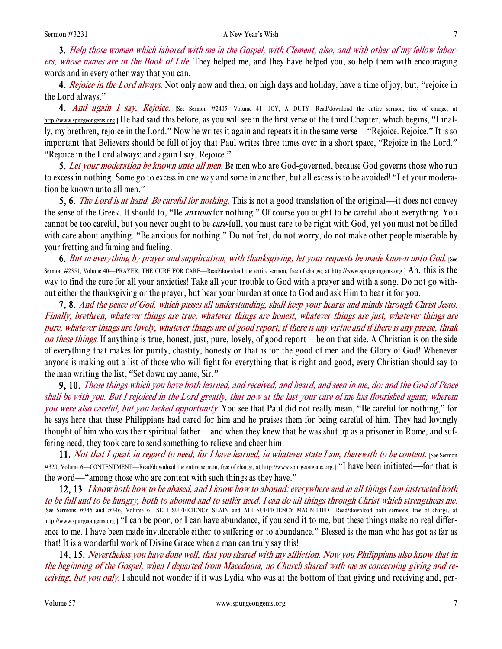3. Help those women which labored with me in the Gospel, with Clement, also, and with other of my fellow laborers, whose names are in the Book of Life. They helped me, and they have helped you, so help them with encouraging words and in every other way that you can.

4. Rejoice in the Lord always. Not only now and then, on high days and holiday, have a time of joy, but, "rejoice in the Lord always."

4. And again I say, Rejoice. [See Sermon #2405, Volume 41-JOY, A DUTY-Read/download the entire sermon, free of charge, at http://www.spurgeongems.org.] He had said this before, as you will see in the first verse of the third Chapter, which begins, "Finally, my brethren, rejoice in the Lord." Now he writes it again and repeats it in the same verse—"Rejoice. Rejoice." It is so important that Believers should be full of joy that Paul writes three times over in a short space, "Rejoice in the Lord." "Rejoice in the Lord always: and again I say, Rejoice."

5. Let your moderation be known unto all men. Be men who are God-governed, because God governs those who run to excess in nothing. Some go to excess in one way and some in another, but all excess is to be avoided! "Let your moderation be known unto all men."

5, 6. *The Lord is at hand. Be careful for nothing*. This is not a good translation of the original—it does not convey the sense of the Greek. It should to, "Be *anxious* for nothing." Of course you ought to be careful about everything. You cannot be too careful, but you never ought to be *care*-full, you must care to be right with God, yet you must not be filled with care about anything. "Be anxious for nothing." Do not fret, do not worry, do not make other people miserable by your fretting and fuming and fueling.

6. But in everything by prayer and supplication, with thanksgiving, let your requests be made known unto God. [See Sermon #2351, Volume 40—PRAYER, THE CURE FOR CARE—Read/download the entire sermon, free of charge, at http://www.spurgeongems.org.] Ah, this is the way to find the cure for all your anxieties! Take all your trouble to God with a prayer and with a song. Do not go without either the thanksgiving or the prayer, but bear your burden at once to God and ask Him to bear it for you.

7, 8. And the peace of God, which passes all understanding, shall keep your hearts and minds through Christ Jesus. Finally, brethren, whatever things are true, whatever things are honest, whatever things are just, whatever things are pure, whatever things are lovely, whatever things are of good report; if there is any virtue and if there is any praise, think on these things. If anything is true, honest, just, pure, lovely, of good report—be on that side. A Christian is on the side of everything that makes for purity, chastity, honesty or that is for the good of men and the Glory of God! Whenever anyone is making out a list of those who will fight for everything that is right and good, every Christian should say to the man writing the list, "Set down my name, Sir."

9, 10. Those things which you have both learned, and received, and heard, and seen in me, do: and the God of Peace shall be with you. But I rejoiced in the Lord greatly, that now at the last your care of me has flourished again; wherein you were also careful, but you lacked opportunity. You see that Paul did not really mean, "Be careful for nothing," for he says here that these Philippians had cared for him and he praises them for being careful of him. They had lovingly thought of him who was their spiritual father—and when they knew that he was shut up as a prisoner in Rome, and suffering need, they took care to send something to relieve and cheer him.

11. Not that I speak in regard to need, for I have learned, in whatever state I am, therewith to be content. [See Sermon #320, Volume 6—CONTENTMENT—Read/download the entire sermon, free of charge, at http://www.spurgeongems.org.] "I have been initiated—for that is the word—"among those who are content with such things as they have."

12, 13. I know both how to be abased, and I know how to abound: everywhere and in all things I am instructed both to be full and to be hungry, both to abound and to suffer need. I can do all things through Christ which strengthens me. [See Sermons #345 and #346, Volume 6—SELF-SUFFICIENCY SLAIN and ALL-SUFFICIENCY MAGNIFIED—Read/download both sermons, free of charge, at  $\underline{\text{http://www.spurecongems.org.}}$  "I can be poor, or I can have abundance, if you send it to me, but these things make no real difference to me. I have been made invulnerable either to suffering or to abundance." Blessed is the man who has got as far as that! It is a wonderful work of Divine Grace when a man can truly say this!

14, 15. Nevertheless you have done well, that you shared with my affliction. Now you Philippians also know that in the beginning of the Gospel, when I departed from Macedonia, no Church shared with me as concerning giving and receiving, but you only. I should not wonder if it was Lydia who was at the bottom of that giving and receiving and, per